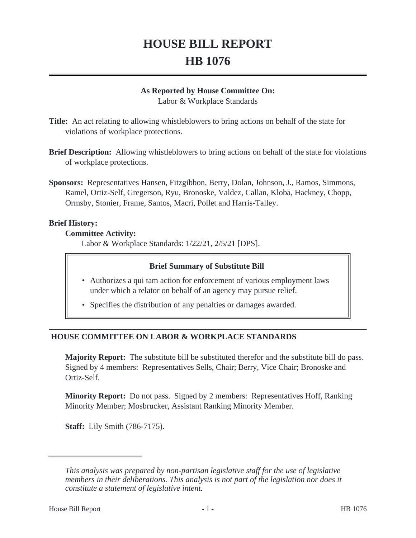# **HOUSE BILL REPORT HB 1076**

#### **As Reported by House Committee On:**

Labor & Workplace Standards

**Title:** An act relating to allowing whistleblowers to bring actions on behalf of the state for violations of workplace protections.

- **Brief Description:** Allowing whistleblowers to bring actions on behalf of the state for violations of workplace protections.
- **Sponsors:** Representatives Hansen, Fitzgibbon, Berry, Dolan, Johnson, J., Ramos, Simmons, Ramel, Ortiz-Self, Gregerson, Ryu, Bronoske, Valdez, Callan, Kloba, Hackney, Chopp, Ormsby, Stonier, Frame, Santos, Macri, Pollet and Harris-Talley.

## **Brief History:**

#### **Committee Activity:**

Labor & Workplace Standards: 1/22/21, 2/5/21 [DPS].

## **Brief Summary of Substitute Bill**

- Authorizes a qui tam action for enforcement of various employment laws under which a relator on behalf of an agency may pursue relief.
- Specifies the distribution of any penalties or damages awarded.

# **HOUSE COMMITTEE ON LABOR & WORKPLACE STANDARDS**

**Majority Report:** The substitute bill be substituted therefor and the substitute bill do pass. Signed by 4 members: Representatives Sells, Chair; Berry, Vice Chair; Bronoske and Ortiz-Self.

**Minority Report:** Do not pass. Signed by 2 members: Representatives Hoff, Ranking Minority Member; Mosbrucker, Assistant Ranking Minority Member.

**Staff:** Lily Smith (786-7175).

*This analysis was prepared by non-partisan legislative staff for the use of legislative members in their deliberations. This analysis is not part of the legislation nor does it constitute a statement of legislative intent.*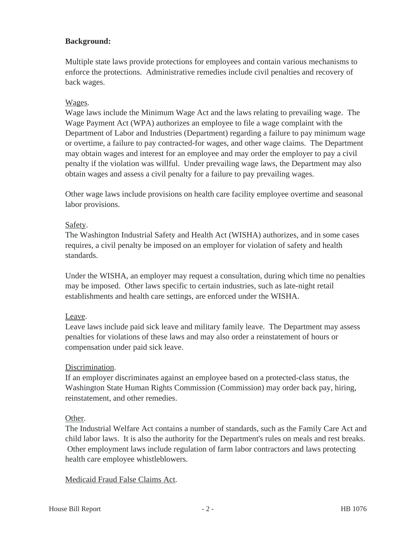## **Background:**

Multiple state laws provide protections for employees and contain various mechanisms to enforce the protections. Administrative remedies include civil penalties and recovery of back wages.

## Wages.

Wage laws include the Minimum Wage Act and the laws relating to prevailing wage. The Wage Payment Act (WPA) authorizes an employee to file a wage complaint with the Department of Labor and Industries (Department) regarding a failure to pay minimum wage or overtime, a failure to pay contracted-for wages, and other wage claims. The Department may obtain wages and interest for an employee and may order the employer to pay a civil penalty if the violation was willful. Under prevailing wage laws, the Department may also obtain wages and assess a civil penalty for a failure to pay prevailing wages.

Other wage laws include provisions on health care facility employee overtime and seasonal labor provisions.

#### Safety.

The Washington Industrial Safety and Health Act (WISHA) authorizes, and in some cases requires, a civil penalty be imposed on an employer for violation of safety and health standards.

Under the WISHA, an employer may request a consultation, during which time no penalties may be imposed. Other laws specific to certain industries, such as late-night retail establishments and health care settings, are enforced under the WISHA.

## Leave.

Leave laws include paid sick leave and military family leave. The Department may assess penalties for violations of these laws and may also order a reinstatement of hours or compensation under paid sick leave.

## Discrimination.

If an employer discriminates against an employee based on a protected-class status, the Washington State Human Rights Commission (Commission) may order back pay, hiring, reinstatement, and other remedies.

## Other.

The Industrial Welfare Act contains a number of standards, such as the Family Care Act and child labor laws. It is also the authority for the Department's rules on meals and rest breaks. Other employment laws include regulation of farm labor contractors and laws protecting health care employee whistleblowers.

## Medicaid Fraud False Claims Act.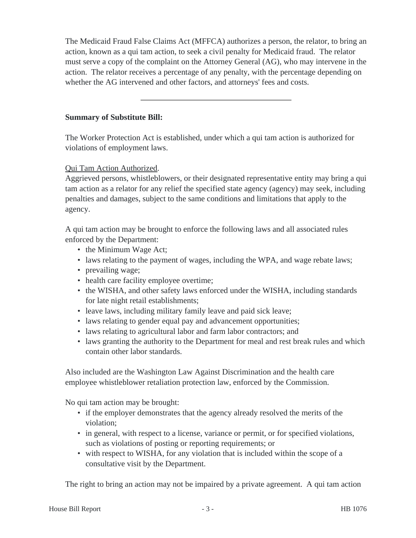The Medicaid Fraud False Claims Act (MFFCA) authorizes a person, the relator, to bring an action, known as a qui tam action, to seek a civil penalty for Medicaid fraud. The relator must serve a copy of the complaint on the Attorney General (AG), who may intervene in the action. The relator receives a percentage of any penalty, with the percentage depending on whether the AG intervened and other factors, and attorneys' fees and costs.

**Summary of Substitute Bill:**

The Worker Protection Act is established, under which a qui tam action is authorized for violations of employment laws.

## Qui Tam Action Authorized.

Aggrieved persons, whistleblowers, or their designated representative entity may bring a qui tam action as a relator for any relief the specified state agency (agency) may seek, including penalties and damages, subject to the same conditions and limitations that apply to the agency.

A qui tam action may be brought to enforce the following laws and all associated rules enforced by the Department:

- the Minimum Wage Act;
- laws relating to the payment of wages, including the WPA, and wage rebate laws;
- prevailing wage;
- health care facility employee overtime;
- the WISHA, and other safety laws enforced under the WISHA, including standards for late night retail establishments;
- leave laws, including military family leave and paid sick leave;
- laws relating to gender equal pay and advancement opportunities;
- laws relating to agricultural labor and farm labor contractors; and
- laws granting the authority to the Department for meal and rest break rules and which contain other labor standards.

Also included are the Washington Law Against Discrimination and the health care employee whistleblower retaliation protection law, enforced by the Commission.

No qui tam action may be brought:

- if the employer demonstrates that the agency already resolved the merits of the violation;
- in general, with respect to a license, variance or permit, or for specified violations, such as violations of posting or reporting requirements; or
- with respect to WISHA, for any violation that is included within the scope of a consultative visit by the Department.

The right to bring an action may not be impaired by a private agreement. A qui tam action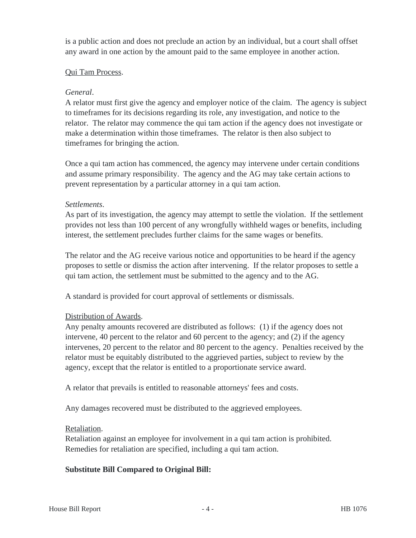is a public action and does not preclude an action by an individual, but a court shall offset any award in one action by the amount paid to the same employee in another action.

#### Qui Tam Process.

#### *General*.

A relator must first give the agency and employer notice of the claim. The agency is subject to timeframes for its decisions regarding its role, any investigation, and notice to the relator. The relator may commence the qui tam action if the agency does not investigate or make a determination within those timeframes. The relator is then also subject to timeframes for bringing the action.

Once a qui tam action has commenced, the agency may intervene under certain conditions and assume primary responsibility. The agency and the AG may take certain actions to prevent representation by a particular attorney in a qui tam action.

#### *Settlements*.

As part of its investigation, the agency may attempt to settle the violation. If the settlement provides not less than 100 percent of any wrongfully withheld wages or benefits, including interest, the settlement precludes further claims for the same wages or benefits.

The relator and the AG receive various notice and opportunities to be heard if the agency proposes to settle or dismiss the action after intervening. If the relator proposes to settle a qui tam action, the settlement must be submitted to the agency and to the AG.

A standard is provided for court approval of settlements or dismissals.

## Distribution of Awards.

Any penalty amounts recovered are distributed as follows: (1) if the agency does not intervene, 40 percent to the relator and 60 percent to the agency; and (2) if the agency intervenes, 20 percent to the relator and 80 percent to the agency. Penalties received by the relator must be equitably distributed to the aggrieved parties, subject to review by the agency, except that the relator is entitled to a proportionate service award.

A relator that prevails is entitled to reasonable attorneys' fees and costs.

Any damages recovered must be distributed to the aggrieved employees.

#### Retaliation.

Retaliation against an employee for involvement in a qui tam action is prohibited. Remedies for retaliation are specified, including a qui tam action.

## **Substitute Bill Compared to Original Bill:**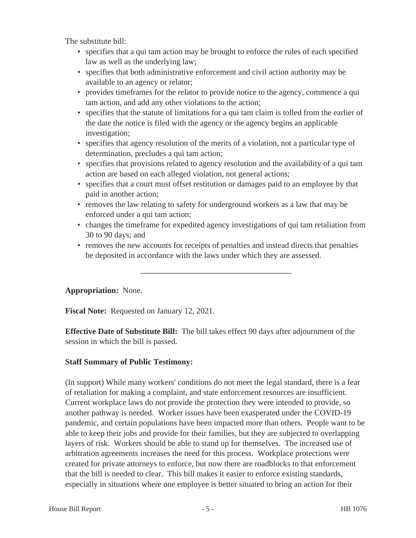The substitute bill:

- specifies that a qui tam action may be brought to enforce the rules of each specified law as well as the underlying law;
- specifies that both administrative enforcement and civil action authority may be available to an agency or relator;
- provides timeframes for the relator to provide notice to the agency, commence a qui tam action, and add any other violations to the action;
- specifies that the statute of limitations for a qui tam claim is tolled from the earlier of the date the notice is filed with the agency or the agency begins an applicable investigation;
- specifies that agency resolution of the merits of a violation, not a particular type of determination, precludes a qui tam action;
- specifies that provisions related to agency resolution and the availability of a qui tam action are based on each alleged violation, not general actions;
- specifies that a court must offset restitution or damages paid to an employee by that paid in another action;
- removes the law relating to safety for underground workers as a law that may be enforced under a qui tam action;
- changes the timeframe for expedited agency investigations of qui tam retaliation from 30 to 90 days; and
- removes the new accounts for receipts of penalties and instead directs that penalties be deposited in accordance with the laws under which they are assessed.

# **Appropriation:** None.

**Fiscal Note:** Requested on January 12, 2021.

**Effective Date of Substitute Bill:** The bill takes effect 90 days after adjournment of the session in which the bill is passed.

# **Staff Summary of Public Testimony:**

(In support) While many workers' conditions do not meet the legal standard, there is a fear of retaliation for making a complaint, and state enforcement resources are insufficient. Current workplace laws do not provide the protection they were intended to provide, so another pathway is needed. Worker issues have been exasperated under the COVID-19 pandemic, and certain populations have been impacted more than others. People want to be able to keep their jobs and provide for their families, but they are subjected to overlapping layers of risk. Workers should be able to stand up for themselves. The increased use of arbitration agreements increases the need for this process. Workplace protections were created for private attorneys to enforce, but now there are roadblocks to that enforcement that the bill is needed to clear. This bill makes it easier to enforce existing standards, especially in situations where one employee is better situated to bring an action for their